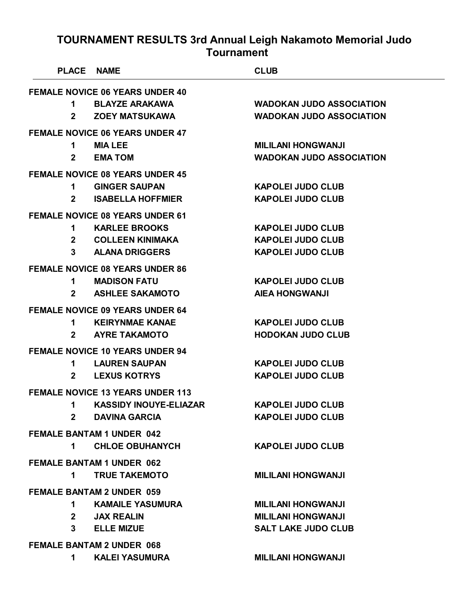| <b>PLACE NAME</b>                |                                         | <b>CLUB</b>                     |  |  |
|----------------------------------|-----------------------------------------|---------------------------------|--|--|
|                                  | <b>FEMALE NOVICE 06 YEARS UNDER 40</b>  |                                 |  |  |
| 1.                               | <b>BLAYZE ARAKAWA</b>                   | <b>WADOKAN JUDO ASSOCIATION</b> |  |  |
| $\mathbf{2}$                     | <b>ZOEY MATSUKAWA</b>                   | <b>WADOKAN JUDO ASSOCIATION</b> |  |  |
|                                  | <b>FEMALE NOVICE 06 YEARS UNDER 47</b>  |                                 |  |  |
| 1                                | <b>MIA LEE</b>                          | <b>MILILANI HONGWANJI</b>       |  |  |
| $2^{\sim}$                       | <b>EMATOM</b>                           | <b>WADOKAN JUDO ASSOCIATION</b> |  |  |
|                                  | <b>FEMALE NOVICE 08 YEARS UNDER 45</b>  |                                 |  |  |
| 1.                               | <b>GINGER SAUPAN</b>                    | <b>KAPOLEI JUDO CLUB</b>        |  |  |
| $\mathbf{2}$                     | <b>ISABELLA HOFFMIER</b>                | <b>KAPOLEI JUDO CLUB</b>        |  |  |
|                                  | <b>FEMALE NOVICE 08 YEARS UNDER 61</b>  |                                 |  |  |
| 1.                               | <b>KARLEE BROOKS</b>                    | <b>KAPOLEI JUDO CLUB</b>        |  |  |
|                                  | 2 COLLEEN KINIMAKA                      | <b>KAPOLEI JUDO CLUB</b>        |  |  |
| 3                                | <b>ALANA DRIGGERS</b>                   | <b>KAPOLEI JUDO CLUB</b>        |  |  |
|                                  | <b>FEMALE NOVICE 08 YEARS UNDER 86</b>  |                                 |  |  |
| 1.                               | <b>MADISON FATU</b>                     | <b>KAPOLEI JUDO CLUB</b>        |  |  |
| $\mathbf{2}$                     | <b>ASHLEE SAKAMOTO</b>                  | <b>AIEA HONGWANJI</b>           |  |  |
|                                  | <b>FEMALE NOVICE 09 YEARS UNDER 64</b>  |                                 |  |  |
| 1                                | <b>KEIRYNMAE KANAE</b>                  | <b>KAPOLEI JUDO CLUB</b>        |  |  |
| $2^{\circ}$                      | <b>AYRE TAKAMOTO</b>                    | <b>HODOKAN JUDO CLUB</b>        |  |  |
|                                  | <b>FEMALE NOVICE 10 YEARS UNDER 94</b>  |                                 |  |  |
| 1.                               | <b>LAUREN SAUPAN</b>                    | <b>KAPOLEI JUDO CLUB</b>        |  |  |
| $\mathbf{2}$                     | <b>LEXUS KOTRYS</b>                     | <b>KAPOLEI JUDO CLUB</b>        |  |  |
|                                  | <b>FEMALE NOVICE 13 YEARS UNDER 113</b> |                                 |  |  |
| 1                                | <b>KASSIDY INOUYE-ELIAZAR</b>           | <b>KAPOLEI JUDO CLUB</b>        |  |  |
| $\mathbf{2}$                     | <b>DAVINA GARCIA</b>                    | <b>KAPOLEI JUDO CLUB</b>        |  |  |
| <b>FEMALE BANTAM 1 UNDER 042</b> |                                         |                                 |  |  |
| $\mathbf 1$                      | <b>CHLOE OBUHANYCH</b>                  | <b>KAPOLEI JUDO CLUB</b>        |  |  |
| <b>FEMALE BANTAM 1 UNDER 062</b> |                                         |                                 |  |  |
| 1.                               | <b>TRUE TAKEMOTO</b>                    | <b>MILILANI HONGWANJI</b>       |  |  |
|                                  | <b>FEMALE BANTAM 2 UNDER 059</b>        |                                 |  |  |
| 1.                               | <b>KAMAILE YASUMURA</b>                 | <b>MILILANI HONGWANJI</b>       |  |  |
|                                  | 2 JAX REALIN                            | <b>MILILANI HONGWANJI</b>       |  |  |
|                                  | 3 ELLE MIZUE                            | <b>SALT LAKE JUDO CLUB</b>      |  |  |
| <b>FEMALE BANTAM 2 UNDER 068</b> |                                         |                                 |  |  |
| 1.                               | <b>KALEI YASUMURA</b>                   | <b>MILILANI HONGWANJI</b>       |  |  |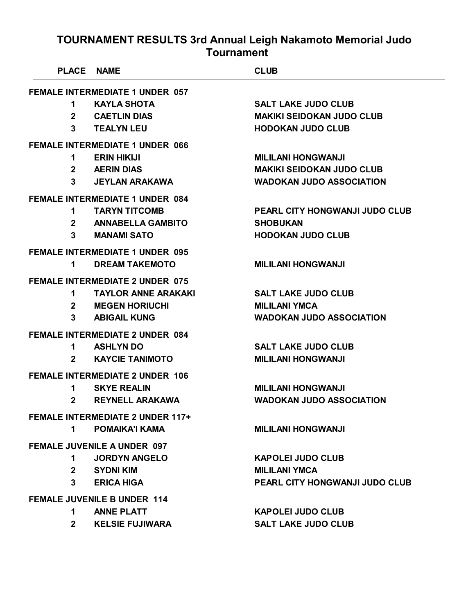| PLACE NAME     |                                         | <b>CLUB</b>                           |
|----------------|-----------------------------------------|---------------------------------------|
|                | <b>FEMALE INTERMEDIATE 1 UNDER 057</b>  |                                       |
| 1              | <b>KAYLA SHOTA</b>                      | <b>SALT LAKE JUDO CLUB</b>            |
| $\mathbf{2}$   | <b>CAETLIN DIAS</b>                     | <b>MAKIKI SEIDOKAN JUDO CLUB</b>      |
| 3              | <b>TEALYN LEU</b>                       | <b>HODOKAN JUDO CLUB</b>              |
|                | <b>FEMALE INTERMEDIATE 1 UNDER 066</b>  |                                       |
| 1.             | <b>ERIN HIKIJI</b>                      | <b>MILILANI HONGWANJI</b>             |
| $2^{\sim}$     | <b>AERIN DIAS</b>                       | <b>MAKIKI SEIDOKAN JUDO CLUB</b>      |
| $\mathbf{3}$   | <b>JEYLAN ARAKAWA</b>                   | <b>WADOKAN JUDO ASSOCIATION</b>       |
|                | <b>FEMALE INTERMEDIATE 1 UNDER 084</b>  |                                       |
| 1              | <b>TARYN TITCOMB</b>                    | <b>PEARL CITY HONGWANJI JUDO CLUB</b> |
| $\mathbf{2}$   | <b>ANNABELLA GAMBITO</b>                | <b>SHOBUKAN</b>                       |
| 3              | <b>MANAMI SATO</b>                      | <b>HODOKAN JUDO CLUB</b>              |
|                | <b>FEMALE INTERMEDIATE 1 UNDER 095</b>  |                                       |
| 1              | <b>DREAM TAKEMOTO</b>                   | <b>MILILANI HONGWANJI</b>             |
|                | <b>FEMALE INTERMEDIATE 2 UNDER 075</b>  |                                       |
| 1              | <b>TAYLOR ANNE ARAKAKI</b>              | <b>SALT LAKE JUDO CLUB</b>            |
| $2^{\sim}$     | <b>MEGEN HORIUCHI</b>                   | <b>MILILANI YMCA</b>                  |
| 3              | <b>ABIGAIL KUNG</b>                     | <b>WADOKAN JUDO ASSOCIATION</b>       |
|                | <b>FEMALE INTERMEDIATE 2 UNDER 084</b>  |                                       |
| 1              | <b>ASHLYN DO</b>                        | <b>SALT LAKE JUDO CLUB</b>            |
| $\mathbf{2}$   | <b>KAYCIE TANIMOTO</b>                  | <b>MILILANI HONGWANJI</b>             |
|                | <b>FEMALE INTERMEDIATE 2 UNDER 106</b>  |                                       |
| 1              | <b>SKYE REALIN</b>                      | <b>MILILANI HONGWANJI</b>             |
| $\mathbf{2}$   | <b>REYNELL ARAKAWA</b>                  | <b>WADOKAN JUDO ASSOCIATION</b>       |
|                | <b>FEMALE INTERMEDIATE 2 UNDER 117+</b> |                                       |
| $\mathbf 1$    | <b>POMAIKA'I KAMA</b>                   | <b>MILILANI HONGWANJI</b>             |
|                | <b>FEMALE JUVENILE A UNDER 097</b>      |                                       |
| 1              | <b>JORDYN ANGELO</b>                    | <b>KAPOLEI JUDO CLUB</b>              |
| 2 <sup>1</sup> | SYDNI KIM                               | <b>MILILANI YMCA</b>                  |
| 3              | <b>ERICA HIGA</b>                       | PEARL CITY HONGWANJI JUDO CLUB        |
|                | <b>FEMALE JUVENILE B UNDER 114</b>      |                                       |
| 1              | <b>ANNE PLATT</b>                       | <b>KAPOLEI JUDO CLUB</b>              |
| $2^{\circ}$    | <b>KELSIE FUJIWARA</b>                  | <b>SALT LAKE JUDO CLUB</b>            |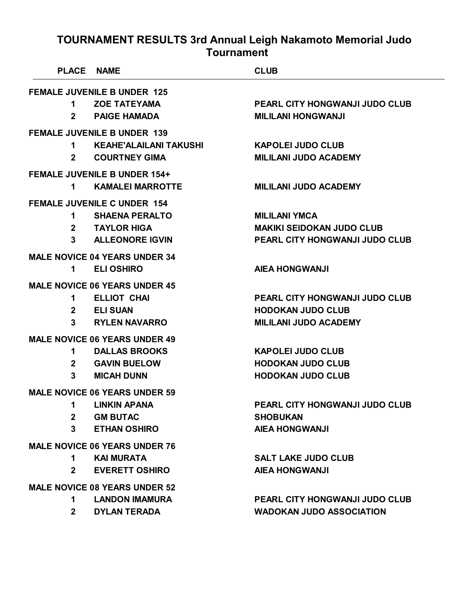| <b>PLACE</b>                         | <b>NAME</b>                          | <b>CLUB</b>                           |  |
|--------------------------------------|--------------------------------------|---------------------------------------|--|
|                                      | <b>FEMALE JUVENILE B UNDER 125</b>   |                                       |  |
| 1                                    | <b>ZOE TATEYAMA</b>                  | PEARL CITY HONGWANJI JUDO CLUB        |  |
| $\mathbf{2}$                         | <b>PAIGE HAMADA</b>                  | <b>MILILANI HONGWANJI</b>             |  |
|                                      | <b>FEMALE JUVENILE B UNDER 139</b>   |                                       |  |
| 1                                    | <b>KEAHE'ALAILANI TAKUSHI</b>        | <b>KAPOLEI JUDO CLUB</b>              |  |
| $\mathbf{2}$                         | <b>COURTNEY GIMA</b>                 | <b>MILILANI JUDO ACADEMY</b>          |  |
|                                      | <b>FEMALE JUVENILE B UNDER 154+</b>  |                                       |  |
| 1                                    | <b>KAMALEI MARROTTE</b>              | <b>MILILANI JUDO ACADEMY</b>          |  |
|                                      | <b>FEMALE JUVENILE C UNDER 154</b>   |                                       |  |
| 1                                    | <b>SHAENA PERALTO</b>                | <b>MILILANI YMCA</b>                  |  |
| $\mathbf{2}$                         | <b>TAYLOR HIGA</b>                   | <b>MAKIKI SEIDOKAN JUDO CLUB</b>      |  |
| 3                                    | <b>ALLEONORE IGVIN</b>               | <b>PEARL CITY HONGWANJI JUDO CLUB</b> |  |
|                                      | <b>MALE NOVICE 04 YEARS UNDER 34</b> |                                       |  |
| 1                                    | <b>ELI OSHIRO</b>                    | <b>AIEA HONGWANJI</b>                 |  |
|                                      | <b>MALE NOVICE 06 YEARS UNDER 45</b> |                                       |  |
| 1                                    | <b>ELLIOT CHAI</b>                   | <b>PEARL CITY HONGWANJI JUDO CLUB</b> |  |
| $\mathbf{2}$                         | <b>ELI SUAN</b>                      | <b>HODOKAN JUDO CLUB</b>              |  |
| 3                                    | <b>RYLEN NAVARRO</b>                 | <b>MILILANI JUDO ACADEMY</b>          |  |
|                                      | <b>MALE NOVICE 06 YEARS UNDER 49</b> |                                       |  |
| 1                                    | <b>DALLAS BROOKS</b>                 | <b>KAPOLEI JUDO CLUB</b>              |  |
| $\mathbf{2}$                         | <b>GAVIN BUELOW</b>                  | <b>HODOKAN JUDO CLUB</b>              |  |
| 3                                    | <b>MICAH DUNN</b>                    | <b>HODOKAN JUDO CLUB</b>              |  |
|                                      | <b>MALE NOVICE 06 YEARS UNDER 59</b> |                                       |  |
| 1                                    | <b>LINKIN APANA</b>                  | PEARL CITY HONGWANJI JUDO CLUB        |  |
| $2^{\sim}$                           | <b>GM BUTAC</b>                      | <b>SHOBUKAN</b>                       |  |
| $3^{\circ}$                          | <b>ETHAN OSHIRO</b>                  | <b>AIEA HONGWANJI</b>                 |  |
| <b>MALE NOVICE 06 YEARS UNDER 76</b> |                                      |                                       |  |
| $1 \quad$                            | <b>KAI MURATA</b>                    | <b>SALT LAKE JUDO CLUB</b>            |  |
| $2^{\circ}$                          | <b>EVERETT OSHIRO</b>                | <b>AIEA HONGWANJI</b>                 |  |
| <b>MALE NOVICE 08 YEARS UNDER 52</b> |                                      |                                       |  |
| 1.                                   | <b>LANDON IMAMURA</b>                | PEARL CITY HONGWANJI JUDO CLUB        |  |
| $\mathbf{2}$                         | <b>DYLAN TERADA</b>                  | <b>WADOKAN JUDO ASSOCIATION</b>       |  |
|                                      |                                      |                                       |  |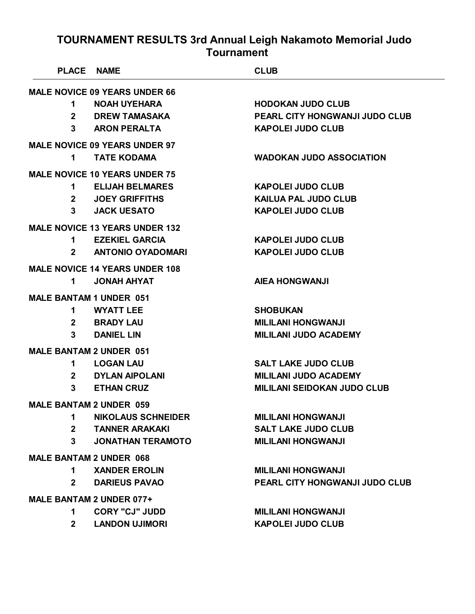| <b>PLACE NAME</b>               |                                       | <b>CLUB</b>                           |
|---------------------------------|---------------------------------------|---------------------------------------|
|                                 | <b>MALE NOVICE 09 YEARS UNDER 66</b>  |                                       |
| $\mathbf 1$                     | <b>NOAH UYEHARA</b>                   | <b>HODOKAN JUDO CLUB</b>              |
| $\mathbf{2}$                    | <b>DREW TAMASAKA</b>                  | PEARL CITY HONGWANJI JUDO CLUB        |
|                                 | 3 ARON PERALTA                        | <b>KAPOLEI JUDO CLUB</b>              |
|                                 | <b>MALE NOVICE 09 YEARS UNDER 97</b>  |                                       |
| 1.                              | <b>TATE KODAMA</b>                    | <b>WADOKAN JUDO ASSOCIATION</b>       |
|                                 | <b>MALE NOVICE 10 YEARS UNDER 75</b>  |                                       |
|                                 | 1 ELIJAH BELMARES                     | <b>KAPOLEI JUDO CLUB</b>              |
|                                 | 2 JOEY GRIFFITHS                      | <b>KAILUA PAL JUDO CLUB</b>           |
|                                 | 3 JACK UESATO                         | <b>KAPOLEI JUDO CLUB</b>              |
|                                 | <b>MALE NOVICE 13 YEARS UNDER 132</b> |                                       |
|                                 | 1 EZEKIEL GARCIA                      | <b>KAPOLEI JUDO CLUB</b>              |
|                                 | 2 ANTONIO OYADOMARI                   | <b>KAPOLEI JUDO CLUB</b>              |
|                                 | <b>MALE NOVICE 14 YEARS UNDER 108</b> |                                       |
| 1                               | <b>JONAH AHYAT</b>                    | <b>AIEA HONGWANJI</b>                 |
| <b>MALE BANTAM 1 UNDER 051</b>  |                                       |                                       |
|                                 | 1 WYATT LEE                           | <b>SHOBUKAN</b>                       |
|                                 | 2 BRADY LAU                           | <b>MILILANI HONGWANJI</b>             |
| $3^{\circ}$                     | <b>DANIEL LIN</b>                     | <b>MILILANI JUDO ACADEMY</b>          |
| <b>MALE BANTAM 2 UNDER 051</b>  |                                       |                                       |
| $\mathbf 1$                     | <b>LOGAN LAU</b>                      | <b>SALT LAKE JUDO CLUB</b>            |
|                                 | 2 DYLAN AIPOLANI                      | <b>MILILANI JUDO ACADEMY</b>          |
| $3^{\circ}$                     | <b>ETHAN CRUZ</b>                     | <b>MILILANI SEIDOKAN JUDO CLUB</b>    |
| <b>MALE BANTAM 2 UNDER 059</b>  |                                       |                                       |
| 1.                              | <b>NIKOLAUS SCHNEIDER</b>             | <b>MILILANI HONGWANJI</b>             |
| $\mathbf{2}$                    | <b>TANNER ARAKAKI</b>                 | <b>SALT LAKE JUDO CLUB</b>            |
| 3                               | <b>JONATHAN TERAMOTO</b>              | <b>MILILANI HONGWANJI</b>             |
| <b>MALE BANTAM 2 UNDER 068</b>  |                                       |                                       |
| 1.                              | <b>XANDER EROLIN</b>                  | <b>MILILANI HONGWANJI</b>             |
| $\mathbf{2}$                    | <b>DARIEUS PAVAO</b>                  | <b>PEARL CITY HONGWANJI JUDO CLUB</b> |
| <b>MALE BANTAM 2 UNDER 077+</b> |                                       |                                       |
| 1.                              | <b>CORY "CJ" JUDD</b>                 | <b>MILILANI HONGWANJI</b>             |
| $2^{\circ}$                     | <b>LANDON UJIMORI</b>                 | <b>KAPOLEI JUDO CLUB</b>              |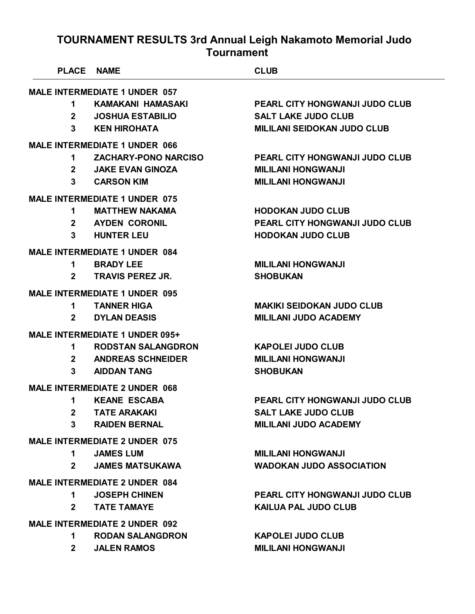|              | PLACE NAME                            | <b>CLUB</b>                           |
|--------------|---------------------------------------|---------------------------------------|
|              | <b>MALE INTERMEDIATE 1 UNDER 057</b>  |                                       |
| 1            | KAMAKANI HAMASAKI                     | <b>PEARL CITY HONGWANJI JUDO CLUB</b> |
| $\mathbf{2}$ | <b>JOSHUA ESTABILIO</b>               | <b>SALT LAKE JUDO CLUB</b>            |
| 3            | <b>KEN HIROHATA</b>                   | <b>MILILANI SEIDOKAN JUDO CLUB</b>    |
|              | <b>MALE INTERMEDIATE 1 UNDER 066</b>  |                                       |
| 1            | <b>ZACHARY-PONO NARCISO</b>           | <b>PEARL CITY HONGWANJI JUDO CLUB</b> |
| $\mathbf{2}$ | <b>JAKE EVAN GINOZA</b>               | <b>MILILANI HONGWANJI</b>             |
| $\mathbf{3}$ | <b>CARSON KIM</b>                     | <b>MILILANI HONGWANJI</b>             |
|              | <b>MALE INTERMEDIATE 1 UNDER 075</b>  |                                       |
| 1            | <b>MATTHEW NAKAMA</b>                 | <b>HODOKAN JUDO CLUB</b>              |
| $\mathbf{2}$ | <b>AYDEN CORONIL</b>                  | <b>PEARL CITY HONGWANJI JUDO CLUB</b> |
| 3            | <b>HUNTER LEU</b>                     | <b>HODOKAN JUDO CLUB</b>              |
|              | <b>MALE INTERMEDIATE 1 UNDER 084</b>  |                                       |
| 1            | <b>BRADY LEE</b>                      | <b>MILILANI HONGWANJI</b>             |
| $\mathbf{2}$ | <b>TRAVIS PEREZ JR.</b>               | <b>SHOBUKAN</b>                       |
|              | <b>MALE INTERMEDIATE 1 UNDER 095</b>  |                                       |
| 1            | <b>TANNER HIGA</b>                    | <b>MAKIKI SEIDOKAN JUDO CLUB</b>      |
| $\mathbf{2}$ | <b>DYLAN DEASIS</b>                   | <b>MILILANI JUDO ACADEMY</b>          |
|              | <b>MALE INTERMEDIATE 1 UNDER 095+</b> |                                       |
| 1            | <b>RODSTAN SALANGDRON</b>             | <b>KAPOLEI JUDO CLUB</b>              |
| $\mathbf{2}$ | <b>ANDREAS SCHNEIDER</b>              | <b>MILILANI HONGWANJI</b>             |
| 3            | <b>AIDDAN TANG</b>                    | <b>SHOBUKAN</b>                       |
|              | <b>MALE INTERMEDIATE 2 UNDER 068</b>  |                                       |
| 1            | <b>KEANE ESCABA</b>                   | <b>PEARL CITY HONGWANJI JUDO CLUB</b> |
| $\mathbf{2}$ | <b>TATE ARAKAKI</b>                   | <b>SALT LAKE JUDO CLUB</b>            |
| 3            | <b>RAIDEN BERNAL</b>                  | <b>MILILANI JUDO ACADEMY</b>          |
|              | <b>MALE INTERMEDIATE 2 UNDER 075</b>  |                                       |
| 1            | <b>JAMES LUM</b>                      | <b>MILILANI HONGWANJI</b>             |
| $2 \square$  | <b>JAMES MATSUKAWA</b>                | <b>WADOKAN JUDO ASSOCIATION</b>       |
|              | <b>MALE INTERMEDIATE 2 UNDER 084</b>  |                                       |
| $\mathbf 1$  | <b>JOSEPH CHINEN</b>                  | <b>PEARL CITY HONGWANJI JUDO CLUB</b> |
| $2 \quad$    | <b>TATE TAMAYE</b>                    | <b>KAILUA PAL JUDO CLUB</b>           |
|              | <b>MALE INTERMEDIATE 2 UNDER 092</b>  |                                       |
| $\mathbf 1$  | <b>RODAN SALANGDRON</b>               | <b>KAPOLEI JUDO CLUB</b>              |
| $2^{\circ}$  | <b>JALEN RAMOS</b>                    | <b>MILILANI HONGWANJI</b>             |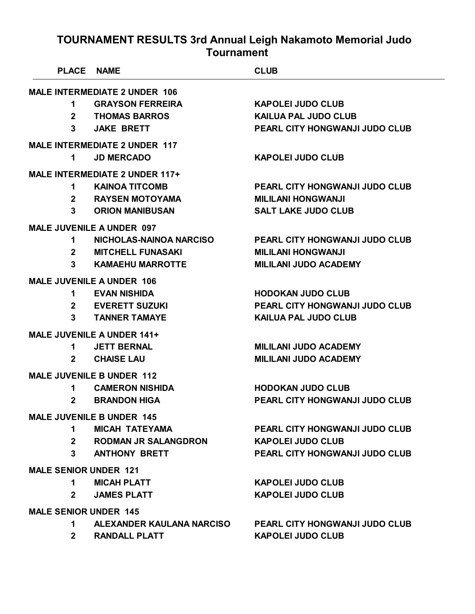| <b>PLACE</b>                         | <b>NAME</b>                           | <b>CLUB</b>                           |  |
|--------------------------------------|---------------------------------------|---------------------------------------|--|
| <b>MALE INTERMEDIATE 2 UNDER 106</b> |                                       |                                       |  |
| 1                                    | <b>GRAYSON FERREIRA</b>               | <b>KAPOLEI JUDO CLUB</b>              |  |
| $\mathbf{2}^{\mathsf{-}}$            | <b>THOMAS BARROS</b>                  | <b>KAILUA PAL JUDO CLUB</b>           |  |
| $\mathbf{3}$                         | <b>JAKE BRETT</b>                     | <b>PEARL CITY HONGWANJI JUDO CLUB</b> |  |
|                                      | <b>MALE INTERMEDIATE 2 UNDER 117</b>  |                                       |  |
| 1                                    | <b>JD MERCADO</b>                     | <b>KAPOLEI JUDO CLUB</b>              |  |
|                                      | <b>MALE INTERMEDIATE 2 UNDER 117+</b> |                                       |  |
| 1                                    | <b>KAINOA TITCOMB</b>                 | <b>PEARL CITY HONGWANJI JUDO CLUB</b> |  |
| $\mathbf{2}$                         | <b>RAYSEN MOTOYAMA</b>                | <b>MILILANI HONGWANJI</b>             |  |
| 3                                    | <b>ORION MANIBUSAN</b>                | <b>SALT LAKE JUDO CLUB</b>            |  |
|                                      | <b>MALE JUVENILE A UNDER 097</b>      |                                       |  |
| 1                                    | NICHOLAS-NAINOA NARCISO               | <b>PEARL CITY HONGWANJI JUDO CLUB</b> |  |
| $2^{\circ}$                          | <b>MITCHELL FUNASAKI</b>              | <b>MILILANI HONGWANJI</b>             |  |
| $\mathbf{3}$                         | <b>KAMAEHU MARROTTE</b>               | <b>MILILANI JUDO ACADEMY</b>          |  |
|                                      | <b>MALE JUVENILE A UNDER 106</b>      |                                       |  |
| 1                                    | <b>EVAN NISHIDA</b>                   | <b>HODOKAN JUDO CLUB</b>              |  |
| $\mathbf{2}$                         | <b>EVERETT SUZUKI</b>                 | <b>PEARL CITY HONGWANJI JUDO CLUB</b> |  |
| 3                                    | <b>TANNER TAMAYE</b>                  | <b>KAILUA PAL JUDO CLUB</b>           |  |
|                                      | <b>MALE JUVENILE A UNDER 141+</b>     |                                       |  |
| 1                                    | <b>JETT BERNAL</b>                    | <b>MILILANI JUDO ACADEMY</b>          |  |
| 2                                    | <b>CHAISE LAU</b>                     | <b>MILILANI JUDO ACADEMY</b>          |  |
|                                      | <b>MALE JUVENILE B UNDER 112</b>      |                                       |  |
| 1                                    | <b>CAMERON NISHIDA</b>                | <b>HODOKAN JUDO CLUB</b>              |  |
| $\mathbf{2}$                         | <b>BRANDON HIGA</b>                   | <b>PEARL CITY HONGWANJI JUDO CLUB</b> |  |
|                                      | <b>MALE JUVENILE B UNDER 145</b>      |                                       |  |
| 1.                                   | <b>MICAH TATEYAMA</b>                 | PEARL CITY HONGWANJI JUDO CLUB        |  |
| $2^{\circ}$                          | <b>RODMAN JR SALANGDRON</b>           | <b>KAPOLEI JUDO CLUB</b>              |  |
| $\mathbf{3}$                         | <b>ANTHONY BRETT</b>                  | PEARL CITY HONGWANJI JUDO CLUB        |  |
| <b>MALE SENIOR UNDER 121</b>         |                                       |                                       |  |
| 1.                                   | <b>MICAH PLATT</b>                    | <b>KAPOLEI JUDO CLUB</b>              |  |
| $\mathbf{2}$                         | <b>JAMES PLATT</b>                    | <b>KAPOLEI JUDO CLUB</b>              |  |
| <b>MALE SENIOR UNDER 145</b>         |                                       |                                       |  |
| 1.                                   | ALEXANDER KAULANA NARCISO             | <b>PEARL CITY HONGWANJI JUDO CLUB</b> |  |
| $2^{\circ}$                          | <b>RANDALL PLATT</b>                  | <b>KAPOLEI JUDO CLUB</b>              |  |
|                                      |                                       |                                       |  |